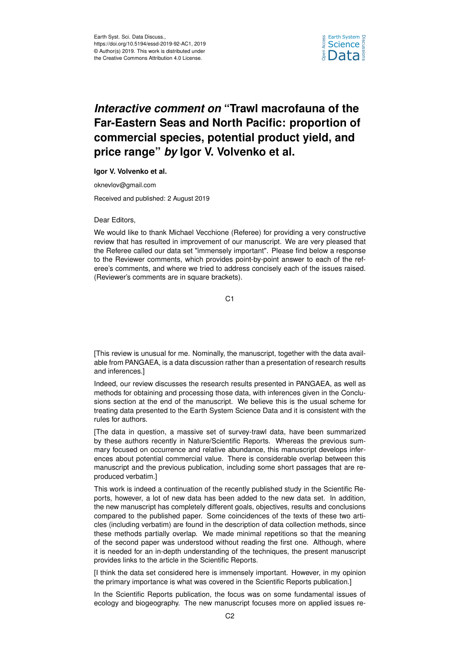

## *Interactive comment on* **"Trawl macrofauna of the Far-Eastern Seas and North Pacific: proportion of commercial species, potential product yield, and price range"** *by* **Igor V. Volvenko et al.**

**Igor V. Volvenko et al.**

oknevlov@gmail.com

Received and published: 2 August 2019

## Dear Editors,

We would like to thank Michael Vecchione (Referee) for providing a very constructive review that has resulted in improvement of our manuscript. We are very pleased that the Referee called our data set "immensely important". Please find below a response to the Reviewer comments, which provides point-by-point answer to each of the referee's comments, and where we tried to address concisely each of the issues raised. (Reviewer's comments are in square brackets).

C1

[This review is unusual for me. Nominally, the manuscript, together with the data available from PANGAEA, is a data discussion rather than a presentation of research results and inferences.]

Indeed, our review discusses the research results presented in PANGAEA, as well as methods for obtaining and processing those data, with inferences given in the Conclusions section at the end of the manuscript. We believe this is the usual scheme for treating data presented to the Earth System Science Data and it is consistent with the rules for authors.

[The data in question, a massive set of survey-trawl data, have been summarized by these authors recently in Nature/Scientific Reports. Whereas the previous summary focused on occurrence and relative abundance, this manuscript develops inferences about potential commercial value. There is considerable overlap between this manuscript and the previous publication, including some short passages that are reproduced verbatim.]

This work is indeed a continuation of the recently published study in the Scientific Reports, however, a lot of new data has been added to the new data set. In addition, the new manuscript has completely different goals, objectives, results and conclusions compared to the published paper. Some coincidences of the texts of these two articles (including verbatim) are found in the description of data collection methods, since these methods partially overlap. We made minimal repetitions so that the meaning of the second paper was understood without reading the first one. Although, where it is needed for an in-depth understanding of the techniques, the present manuscript provides links to the article in the Scientific Reports.

[I think the data set considered here is immensely important. However, in my opinion the primary importance is what was covered in the Scientific Reports publication.]

In the Scientific Reports publication, the focus was on some fundamental issues of ecology and biogeography. The new manuscript focuses more on applied issues re